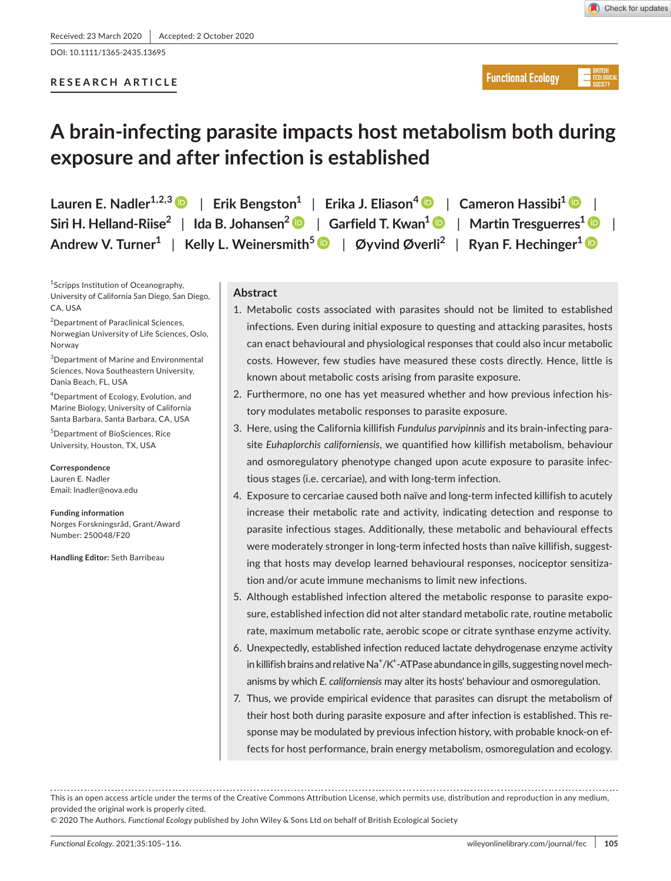DOI: 10.1111/1365-2435.13695

## **RESEARCH ARTICLE**

# **A brain-infecting parasite impacts host metabolism both during exposure and after infection is established**

**Lauren E. Nadler1,2,[3](https://orcid.org/0000-0001-8225-8344)** | **Erik Bengston1** | **Erika J. Eliason<sup>4</sup>** | **Cameron Hassibi1** | **Siri H. Helland-Riise2** | **Ida B. Johansen[2](https://orcid.org/0000-0002-0351-5224)** | **Garfield T. Kwan1** | **Martin Tresguerres[1](https://orcid.org/0000-0002-7090-9266)** | **Andrew V. Turner1** | **Kelly L. Weinersmith[5](https://orcid.org/0000-0002-3886-3480)** | **Øyvind Øverli2** | **Ryan F. Hechinger[1](https://orcid.org/0000-0002-6633-253X)**

<sup>1</sup>Scripps Institution of Oceanography, University of California San Diego, San Diego, CA, USA

<sup>2</sup>Department of Paraclinical Sciences, Norwegian University of Life Sciences, Oslo, Norway

3 Department of Marine and Environmental Sciences, Nova Southeastern University, Dania Beach, FL, USA

4 Department of Ecology, Evolution, and Marine Biology, University of California Santa Barbara, Santa Barbara, CA, USA

5 Department of BioSciences, Rice University, Houston, TX, USA

**Correspondence** Lauren E. Nadler Email: [lnadler@nova.edu](mailto:lnadler@nova.edu)

**Funding information** Norges Forskningsråd, Grant/Award Number: 250048/F20

**Handling Editor:** Seth Barribeau

## **Abstract**

- 1. Metabolic costs associated with parasites should not be limited to established infections. Even during initial exposure to questing and attacking parasites, hosts can enact behavioural and physiological responses that could also incur metabolic costs. However, few studies have measured these costs directly. Hence, little is known about metabolic costs arising from parasite exposure.
- 2. Furthermore, no one has yet measured whether and how previous infection history modulates metabolic responses to parasite exposure.
- 3. Here, using the California killifish *Fundulus parvipinnis* and its brain-infecting parasite *Euhaplorchis californiensis*, we quantified how killifish metabolism, behaviour and osmoregulatory phenotype changed upon acute exposure to parasite infectious stages (i.e. cercariae), and with long-term infection.
- 4. Exposure to cercariae caused both naïve and long-term infected killifish to acutely increase their metabolic rate and activity, indicating detection and response to parasite infectious stages. Additionally, these metabolic and behavioural effects were moderately stronger in long-term infected hosts than naïve killifish, suggesting that hosts may develop learned behavioural responses, nociceptor sensitization and/or acute immune mechanisms to limit new infections.
- 5. Although established infection altered the metabolic response to parasite exposure, established infection did not alter standard metabolic rate, routine metabolic rate, maximum metabolic rate, aerobic scope or citrate synthase enzyme activity.
- 6. Unexpectedly, established infection reduced lactate dehydrogenase enzyme activity in killifish brains and relative Na<sup>+</sup>/K<sup>+</sup>-ATPase abundance in gills, suggesting novel mechanisms by which *E. californiensis* may alter its hosts' behaviour and osmoregulation.
- 7. Thus, we provide empirical evidence that parasites can disrupt the metabolism of their host both during parasite exposure and after infection is established. This response may be modulated by previous infection history, with probable knock-on effects for host performance, brain energy metabolism, osmoregulation and ecology.

This is an open access article under the terms of the [Creative Commons Attribution](http://creativecommons.org/licenses/by/4.0/) License, which permits use, distribution and reproduction in any medium, provided the original work is properly cited.

© 2020 The Authors. *Functional Ecology* published by John Wiley & Sons Ltd on behalf of British Ecological Society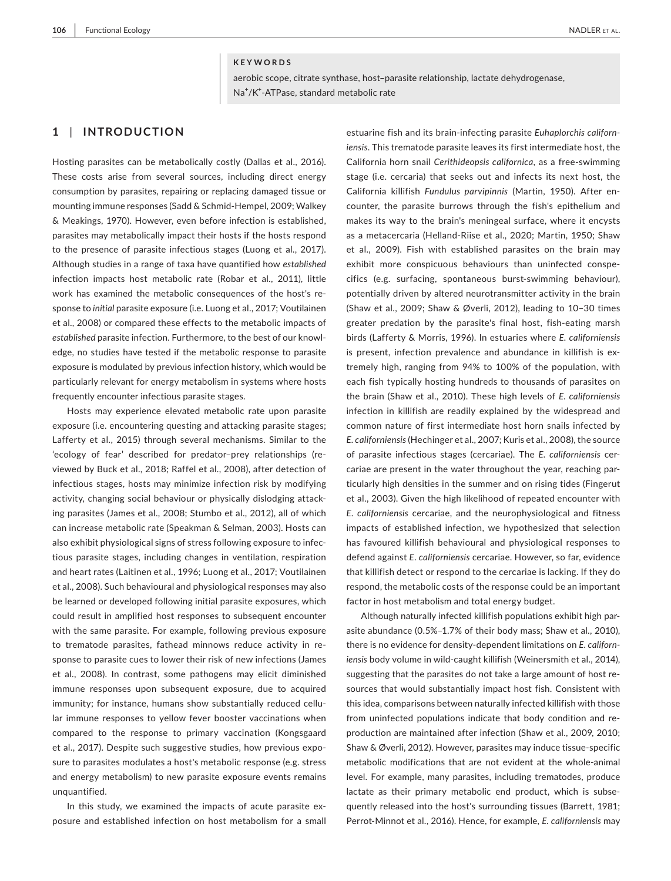#### **KEYWORDS**

aerobic scope, citrate synthase, host–parasite relationship, lactate dehydrogenase, Na<sup>+</sup>/K<sup>+</sup>-ATPase, standard metabolic rate

## **1** | **INTRODUCTION**

Hosting parasites can be metabolically costly (Dallas et al., 2016). These costs arise from several sources, including direct energy consumption by parasites, repairing or replacing damaged tissue or mounting immune responses (Sadd & Schmid-Hempel, 2009; Walkey & Meakings, 1970). However, even before infection is established, parasites may metabolically impact their hosts if the hosts respond to the presence of parasite infectious stages (Luong et al., 2017). Although studies in a range of taxa have quantified how *established* infection impacts host metabolic rate (Robar et al., 2011), little work has examined the metabolic consequences of the host's response to *initial* parasite exposure (i.e. Luong et al., 2017; Voutilainen et al., 2008) or compared these effects to the metabolic impacts of *established* parasite infection. Furthermore, to the best of our knowledge, no studies have tested if the metabolic response to parasite exposure is modulated by previous infection history, which would be particularly relevant for energy metabolism in systems where hosts frequently encounter infectious parasite stages.

Hosts may experience elevated metabolic rate upon parasite exposure (i.e. encountering questing and attacking parasite stages; Lafferty et al., 2015) through several mechanisms. Similar to the 'ecology of fear' described for predator–prey relationships (reviewed by Buck et al., 2018; Raffel et al., 2008), after detection of infectious stages, hosts may minimize infection risk by modifying activity, changing social behaviour or physically dislodging attacking parasites (James et al., 2008; Stumbo et al., 2012), all of which can increase metabolic rate (Speakman & Selman, 2003). Hosts can also exhibit physiological signs of stress following exposure to infectious parasite stages, including changes in ventilation, respiration and heart rates (Laitinen et al., 1996; Luong et al., 2017; Voutilainen et al., 2008). Such behavioural and physiological responses may also be learned or developed following initial parasite exposures, which could result in amplified host responses to subsequent encounter with the same parasite. For example, following previous exposure to trematode parasites, fathead minnows reduce activity in response to parasite cues to lower their risk of new infections (James et al., 2008). In contrast, some pathogens may elicit diminished immune responses upon subsequent exposure, due to acquired immunity; for instance, humans show substantially reduced cellular immune responses to yellow fever booster vaccinations when compared to the response to primary vaccination (Kongsgaard et al., 2017). Despite such suggestive studies, how previous exposure to parasites modulates a host's metabolic response (e.g. stress and energy metabolism) to new parasite exposure events remains unquantified.

In this study, we examined the impacts of acute parasite exposure and established infection on host metabolism for a small estuarine fish and its brain-infecting parasite *Euhaplorchis californiensis*. This trematode parasite leaves its first intermediate host, the California horn snail *Cerithideopsis californica*, as a free-swimming stage (i.e. cercaria) that seeks out and infects its next host, the California killifish *Fundulus parvipinnis* (Martin, 1950). After encounter, the parasite burrows through the fish's epithelium and makes its way to the brain's meningeal surface, where it encysts as a metacercaria (Helland-Riise et al., 2020; Martin, 1950; Shaw et al., 2009). Fish with established parasites on the brain may exhibit more conspicuous behaviours than uninfected conspecifics (e.g. surfacing, spontaneous burst-swimming behaviour), potentially driven by altered neurotransmitter activity in the brain (Shaw et al., 2009; Shaw & Øverli, 2012), leading to 10–30 times greater predation by the parasite's final host, fish-eating marsh birds (Lafferty & Morris, 1996). In estuaries where *E. californiensis* is present, infection prevalence and abundance in killifish is extremely high, ranging from 94% to 100% of the population, with each fish typically hosting hundreds to thousands of parasites on the brain (Shaw et al., 2010). These high levels of *E. californiensis* infection in killifish are readily explained by the widespread and common nature of first intermediate host horn snails infected by *E. californiensis* (Hechinger et al., 2007; Kuris et al., 2008), the source of parasite infectious stages (cercariae). The *E. californiensis* cercariae are present in the water throughout the year, reaching particularly high densities in the summer and on rising tides (Fingerut et al., 2003). Given the high likelihood of repeated encounter with *E*. *californiensis* cercariae, and the neurophysiological and fitness impacts of established infection, we hypothesized that selection has favoured killifish behavioural and physiological responses to defend against *E*. *californiensis* cercariae. However, so far, evidence that killifish detect or respond to the cercariae is lacking. If they do respond, the metabolic costs of the response could be an important factor in host metabolism and total energy budget.

Although naturally infected killifish populations exhibit high parasite abundance (0.5%–1.7% of their body mass; Shaw et al., 2010), there is no evidence for density-dependent limitations on *E. californiensis* body volume in wild-caught killifish (Weinersmith et al., 2014), suggesting that the parasites do not take a large amount of host resources that would substantially impact host fish. Consistent with this idea, comparisons between naturally infected killifish with those from uninfected populations indicate that body condition and reproduction are maintained after infection (Shaw et al., 2009, 2010; Shaw & Øverli, 2012). However, parasites may induce tissue-specific metabolic modifications that are not evident at the whole-animal level. For example, many parasites, including trematodes, produce lactate as their primary metabolic end product, which is subsequently released into the host's surrounding tissues (Barrett, 1981; Perrot-Minnot et al., 2016). Hence, for example, *E. californiensis* may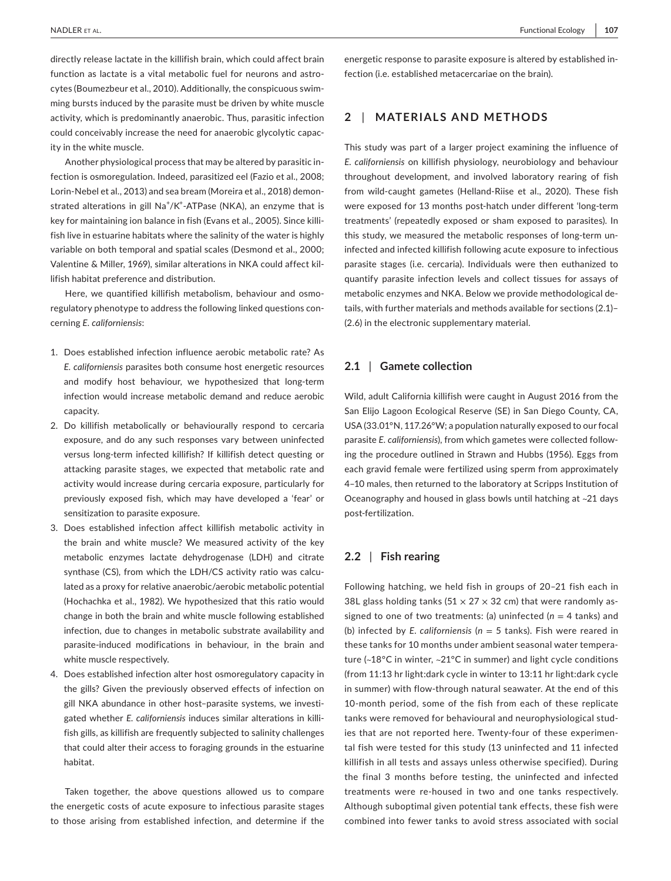directly release lactate in the killifish brain, which could affect brain function as lactate is a vital metabolic fuel for neurons and astrocytes (Boumezbeur et al., 2010). Additionally, the conspicuous swimming bursts induced by the parasite must be driven by white muscle activity, which is predominantly anaerobic. Thus, parasitic infection could conceivably increase the need for anaerobic glycolytic capacity in the white muscle.

Another physiological process that may be altered by parasitic infection is osmoregulation. Indeed, parasitized eel (Fazio et al., 2008; Lorin-Nebel et al., 2013) and sea bream (Moreira et al., 2018) demonstrated alterations in gill Na<sup>+</sup>/K<sup>+</sup>-ATPase (NKA), an enzyme that is key for maintaining ion balance in fish (Evans et al., 2005). Since killifish live in estuarine habitats where the salinity of the water is highly variable on both temporal and spatial scales (Desmond et al., 2000; Valentine & Miller, 1969), similar alterations in NKA could affect killifish habitat preference and distribution.

Here, we quantified killifish metabolism, behaviour and osmoregulatory phenotype to address the following linked questions concerning *E. californiensis*:

- 1. Does established infection influence aerobic metabolic rate? As *E. californiensis* parasites both consume host energetic resources and modify host behaviour, we hypothesized that long-term infection would increase metabolic demand and reduce aerobic capacity.
- 2. Do killifish metabolically or behaviourally respond to cercaria exposure, and do any such responses vary between uninfected versus long-term infected killifish? If killifish detect questing or attacking parasite stages, we expected that metabolic rate and activity would increase during cercaria exposure, particularly for previously exposed fish, which may have developed a 'fear' or sensitization to parasite exposure.
- 3. Does established infection affect killifish metabolic activity in the brain and white muscle? We measured activity of the key metabolic enzymes lactate dehydrogenase (LDH) and citrate synthase (CS), from which the LDH/CS activity ratio was calculated as a proxy for relative anaerobic/aerobic metabolic potential (Hochachka et al., 1982). We hypothesized that this ratio would change in both the brain and white muscle following established infection, due to changes in metabolic substrate availability and parasite-induced modifications in behaviour, in the brain and white muscle respectively.
- 4. Does established infection alter host osmoregulatory capacity in the gills? Given the previously observed effects of infection on gill NKA abundance in other host–parasite systems, we investigated whether *E. californiensis* induces similar alterations in killifish gills, as killifish are frequently subjected to salinity challenges that could alter their access to foraging grounds in the estuarine habitat.

Taken together, the above questions allowed us to compare the energetic costs of acute exposure to infectious parasite stages to those arising from established infection, and determine if the energetic response to parasite exposure is altered by established infection (i.e. established metacercariae on the brain).

## **2** | **MATERIALS AND METHODS**

This study was part of a larger project examining the influence of *E. californiensis* on killifish physiology, neurobiology and behaviour throughout development, and involved laboratory rearing of fish from wild-caught gametes (Helland-Riise et al., 2020). These fish were exposed for 13 months post-hatch under different 'long-term treatments' (repeatedly exposed or sham exposed to parasites). In this study, we measured the metabolic responses of long-term uninfected and infected killifish following acute exposure to infectious parasite stages (i.e. cercaria). Individuals were then euthanized to quantify parasite infection levels and collect tissues for assays of metabolic enzymes and NKA. Below we provide methodological details, with further materials and methods available for sections (2.1)– (2.6) in the electronic supplementary material.

## **2.1** | **Gamete collection**

Wild, adult California killifish were caught in August 2016 from the San Elijo Lagoon Ecological Reserve (SE) in San Diego County, CA, USA (33.01°N, 117.26°W; a population naturally exposed to our focal parasite *E. californiensis*), from which gametes were collected following the procedure outlined in Strawn and Hubbs (1956). Eggs from each gravid female were fertilized using sperm from approximately 4–10 males, then returned to the laboratory at Scripps Institution of Oceanography and housed in glass bowls until hatching at ~21 days post-fertilization.

#### **2.2** | **Fish rearing**

Following hatching, we held fish in groups of 20–21 fish each in 38L glass holding tanks (51  $\times$  27  $\times$  32 cm) that were randomly assigned to one of two treatments: (a) uninfected (*n* = 4 tanks) and (b) infected by *E. californiensis* (*n* = 5 tanks). Fish were reared in these tanks for 10 months under ambient seasonal water temperature (~18°C in winter, ~21°C in summer) and light cycle conditions (from 11:13 hr light:dark cycle in winter to 13:11 hr light:dark cycle in summer) with flow-through natural seawater. At the end of this 10-month period, some of the fish from each of these replicate tanks were removed for behavioural and neurophysiological studies that are not reported here. Twenty-four of these experimental fish were tested for this study (13 uninfected and 11 infected killifish in all tests and assays unless otherwise specified). During the final 3 months before testing, the uninfected and infected treatments were re-housed in two and one tanks respectively. Although suboptimal given potential tank effects, these fish were combined into fewer tanks to avoid stress associated with social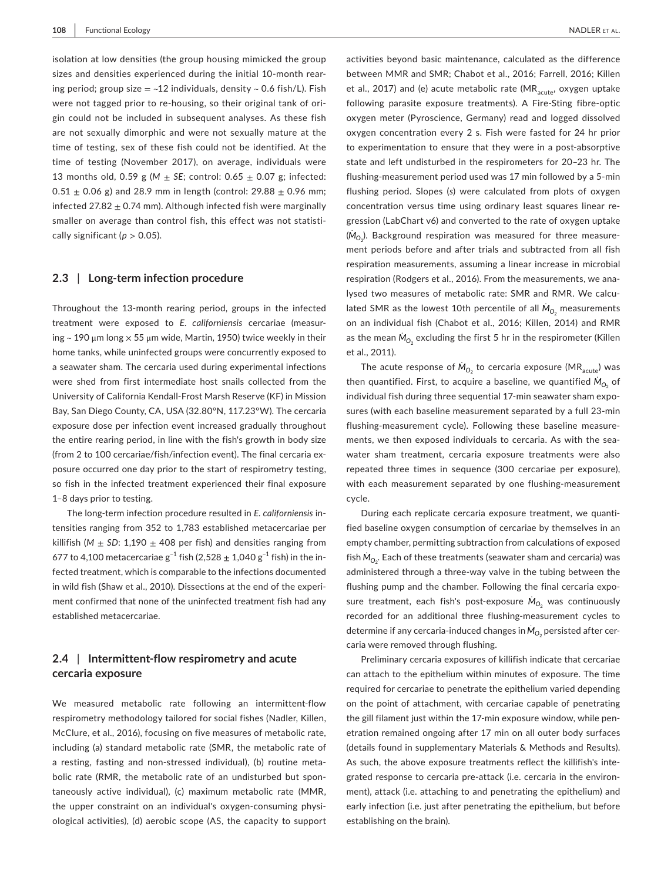isolation at low densities (the group housing mimicked the group sizes and densities experienced during the initial 10-month rearing period; group size  $=$  ~12 individuals, density ~ 0.6 fish/L). Fish were not tagged prior to re-housing, so their original tank of origin could not be included in subsequent analyses. As these fish are not sexually dimorphic and were not sexually mature at the time of testing, sex of these fish could not be identified. At the time of testing (November 2017), on average, individuals were 13 months old, 0.59 g ( $M \pm SE$ ; control: 0.65  $\pm$  0.07 g; infected: 0.51  $\pm$  0.06 g) and 28.9 mm in length (control: 29.88  $\pm$  0.96 mm; infected 27.82  $\pm$  0.74 mm). Although infected fish were marginally smaller on average than control fish, this effect was not statistically significant ( $p > 0.05$ ).

#### **2.3** | **Long-term infection procedure**

Throughout the 13-month rearing period, groups in the infected treatment were exposed to *E. californiensis* cercariae (measuring  $\sim$  190  $\mu$ m long  $\times$  55  $\mu$ m wide, Martin, 1950) twice weekly in their home tanks, while uninfected groups were concurrently exposed to a seawater sham. The cercaria used during experimental infections were shed from first intermediate host snails collected from the University of California Kendall-Frost Marsh Reserve (KF) in Mission Bay, San Diego County, CA, USA (32.80°N, 117.23°W). The cercaria exposure dose per infection event increased gradually throughout the entire rearing period, in line with the fish's growth in body size (from 2 to 100 cercariae/fish/infection event). The final cercaria exposure occurred one day prior to the start of respirometry testing, so fish in the infected treatment experienced their final exposure 1–8 days prior to testing.

The long-term infection procedure resulted in *E. californiensis* intensities ranging from 352 to 1,783 established metacercariae per killifish ( $M \pm SD$ : 1,190  $\pm$  408 per fish) and densities ranging from 677 to 4,100 metacercariae  $g^{-1}$  fish (2,528  $\pm$  1,040  $g^{-1}$  fish) in the infected treatment, which is comparable to the infections documented in wild fish (Shaw et al., 2010). Dissections at the end of the experiment confirmed that none of the uninfected treatment fish had any established metacercariae.

## **2.4** | **Intermittent-flow respirometry and acute cercaria exposure**

We measured metabolic rate following an intermittent-flow respirometry methodology tailored for social fishes (Nadler, Killen, McClure, et al., 2016), focusing on five measures of metabolic rate, including (a) standard metabolic rate (SMR, the metabolic rate of a resting, fasting and non-stressed individual), (b) routine metabolic rate (RMR, the metabolic rate of an undisturbed but spontaneously active individual), (c) maximum metabolic rate (MMR, the upper constraint on an individual's oxygen-consuming physiological activities), (d) aerobic scope (AS, the capacity to support

activities beyond basic maintenance, calculated as the difference between MMR and SMR; Chabot et al., 2016; Farrell, 2016; Killen et al., 2017) and (e) acute metabolic rate (MR $_{\text{acute}}$ , oxygen uptake following parasite exposure treatments). A Fire-Sting fibre-optic oxygen meter (Pyroscience, Germany) read and logged dissolved oxygen concentration every 2 s. Fish were fasted for 24 hr prior to experimentation to ensure that they were in a post-absorptive state and left undisturbed in the respirometers for 20–23 hr. The flushing-measurement period used was 17 min followed by a 5-min flushing period. Slopes (*s*) were calculated from plots of oxygen concentration versus time using ordinary least squares linear regression (LabChart v6) and converted to the rate of oxygen uptake  $\dot{M}_{O_2}$ ). Background respiration was measured for three measurement periods before and after trials and subtracted from all fish respiration measurements, assuming a linear increase in microbial respiration (Rodgers et al., 2016). From the measurements, we analysed two measures of metabolic rate: SMR and RMR. We calculated SMR as the lowest 10th percentile of all  $\dot{M}_{O_2}$  measurements on an individual fish (Chabot et al., 2016; Killen, 2014) and RMR as the mean  $\dot{M}_{{\rm O}_2}$  excluding the first 5 hr in the respirometer (Killen et al., 2011).

The acute response of  $\dot{M}_{O_2}$  to cercaria exposure (MR $_{\rm acute}$ ) was then quantified. First, to acquire a baseline, we quantified  $\dot{M}_{O_2}$  of individual fish during three sequential 17-min seawater sham exposures (with each baseline measurement separated by a full 23-min flushing-measurement cycle). Following these baseline measurements, we then exposed individuals to cercaria. As with the seawater sham treatment, cercaria exposure treatments were also repeated three times in sequence (300 cercariae per exposure), with each measurement separated by one flushing-measurement cycle.

During each replicate cercaria exposure treatment, we quantified baseline oxygen consumption of cercariae by themselves in an empty chamber, permitting subtraction from calculations of exposed fish  $\dot{M}_{O_2}$ . Each of these treatments (seawater sham and cercaria) was administered through a three-way valve in the tubing between the flushing pump and the chamber. Following the final cercaria exposure treatment, each fish's post-exposure  $\dot{M}_{O_2}$  was continuously recorded for an additional three flushing-measurement cycles to determine if any cercaria-induced changes in  $\dot{M}_{{\rm O}_2}$  persisted after cercaria were removed through flushing.

Preliminary cercaria exposures of killifish indicate that cercariae can attach to the epithelium within minutes of exposure. The time required for cercariae to penetrate the epithelium varied depending on the point of attachment, with cercariae capable of penetrating the gill filament just within the 17-min exposure window, while penetration remained ongoing after 17 min on all outer body surfaces (details found in supplementary Materials & Methods and Results). As such, the above exposure treatments reflect the killifish's integrated response to cercaria pre-attack (i.e. cercaria in the environment), attack (i.e. attaching to and penetrating the epithelium) and early infection (i.e. just after penetrating the epithelium, but before establishing on the brain).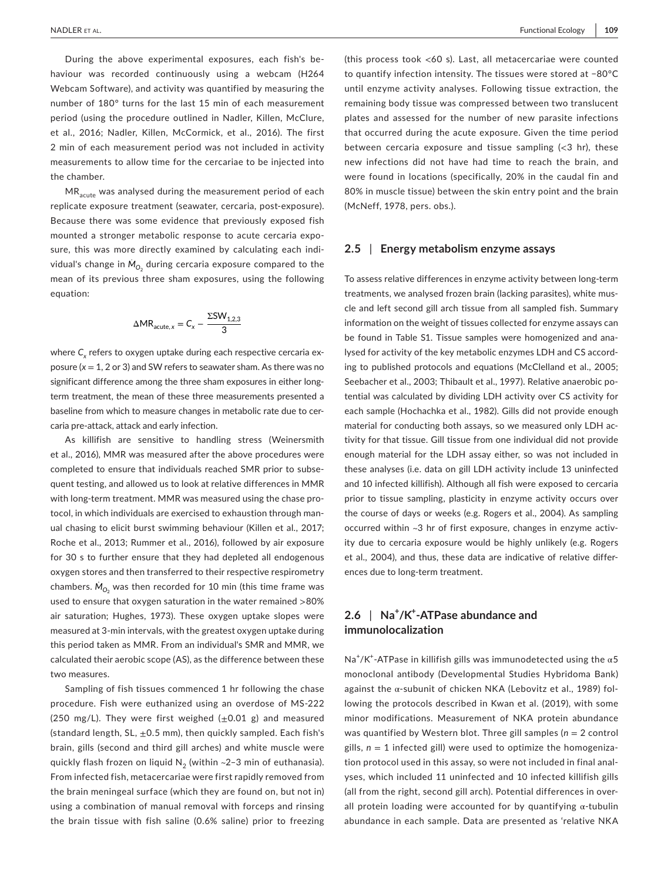During the above experimental exposures, each fish's behaviour was recorded continuously using a webcam (H264 Webcam Software), and activity was quantified by measuring the number of 180° turns for the last 15 min of each measurement period (using the procedure outlined in Nadler, Killen, McClure, et al., 2016; Nadler, Killen, McCormick, et al., 2016). The first 2 min of each measurement period was not included in activity measurements to allow time for the cercariae to be injected into the chamber.

MR<sub>acute</sub> was analysed during the measurement period of each replicate exposure treatment (seawater, cercaria, post-exposure). Because there was some evidence that previously exposed fish mounted a stronger metabolic response to acute cercaria exposure, this was more directly examined by calculating each individual's change in  $\dot{M}_{O_2}$  during cercaria exposure compared to the mean of its previous three sham exposures, using the following equation:

$$
\Delta MR_{\text{acute},x} = C_x - \frac{\Sigma SW_{1,2,3}}{3}
$$

where  $\textsf{C}_{\textsf{x}}$  refers to oxygen uptake during each respective cercaria exposure (*x* = 1, 2 or 3) and SW refers to seawater sham. As there was no significant difference among the three sham exposures in either longterm treatment, the mean of these three measurements presented a baseline from which to measure changes in metabolic rate due to cercaria pre-attack, attack and early infection.

As killifish are sensitive to handling stress (Weinersmith et al., 2016), MMR was measured after the above procedures were completed to ensure that individuals reached SMR prior to subsequent testing, and allowed us to look at relative differences in MMR with long-term treatment. MMR was measured using the chase protocol, in which individuals are exercised to exhaustion through manual chasing to elicit burst swimming behaviour (Killen et al., 2017; Roche et al., 2013; Rummer et al., 2016), followed by air exposure for 30 s to further ensure that they had depleted all endogenous oxygen stores and then transferred to their respective respirometry chambers.  $\dot{M}_{{\rm O}_2}$  was then recorded for 10 min (this time frame was used to ensure that oxygen saturation in the water remained >80% air saturation; Hughes, 1973). These oxygen uptake slopes were measured at 3-min intervals, with the greatest oxygen uptake during this period taken as MMR. From an individual's SMR and MMR, we calculated their aerobic scope (AS), as the difference between these two measures.

Sampling of fish tissues commenced 1 hr following the chase procedure. Fish were euthanized using an overdose of MS-222 (250 mg/L). They were first weighed  $(\pm 0.01 \text{ g})$  and measured (standard length, SL,  $\pm$ 0.5 mm), then quickly sampled. Each fish's brain, gills (second and third gill arches) and white muscle were quickly flash frozen on liquid  $N_2$  (within ~2-3 min of euthanasia). From infected fish, metacercariae were first rapidly removed from the brain meningeal surface (which they are found on, but not in) using a combination of manual removal with forceps and rinsing the brain tissue with fish saline (0.6% saline) prior to freezing

(this process took <60 s). Last, all metacercariae were counted to quantify infection intensity. The tissues were stored at −80°C until enzyme activity analyses. Following tissue extraction, the remaining body tissue was compressed between two translucent plates and assessed for the number of new parasite infections that occurred during the acute exposure. Given the time period between cercaria exposure and tissue sampling  $\langle$ <3 hr), these new infections did not have had time to reach the brain, and were found in locations (specifically, 20% in the caudal fin and 80% in muscle tissue) between the skin entry point and the brain (McNeff, 1978, pers. obs.).

#### **2.5** | **Energy metabolism enzyme assays**

To assess relative differences in enzyme activity between long-term treatments, we analysed frozen brain (lacking parasites), white muscle and left second gill arch tissue from all sampled fish. Summary information on the weight of tissues collected for enzyme assays can be found in Table S1. Tissue samples were homogenized and analysed for activity of the key metabolic enzymes LDH and CS according to published protocols and equations (McClelland et al., 2005; Seebacher et al., 2003; Thibault et al., 1997). Relative anaerobic potential was calculated by dividing LDH activity over CS activity for each sample (Hochachka et al., 1982). Gills did not provide enough material for conducting both assays, so we measured only LDH activity for that tissue. Gill tissue from one individual did not provide enough material for the LDH assay either, so was not included in these analyses (i.e. data on gill LDH activity include 13 uninfected and 10 infected killifish). Although all fish were exposed to cercaria prior to tissue sampling, plasticity in enzyme activity occurs over the course of days or weeks (e.g. Rogers et al., 2004). As sampling occurred within ~3 hr of first exposure, changes in enzyme activity due to cercaria exposure would be highly unlikely (e.g. Rogers et al., 2004), and thus, these data are indicative of relative differences due to long-term treatment.

# **2.6** | **Na<sup>+</sup> /K<sup>+</sup> -ATPase abundance and immunolocalization**

Na<sup>+</sup>/K<sup>+</sup>-ATPase in killifish gills was immunodetected using the  $\alpha$ 5 monoclonal antibody (Developmental Studies Hybridoma Bank) against the α-subunit of chicken NKA (Lebovitz et al., 1989) following the protocols described in Kwan et al. (2019), with some minor modifications. Measurement of NKA protein abundance was quantified by Western blot. Three gill samples (*n* = 2 control gills,  $n = 1$  infected gill) were used to optimize the homogenization protocol used in this assay, so were not included in final analyses, which included 11 uninfected and 10 infected killifish gills (all from the right, second gill arch). Potential differences in overall protein loading were accounted for by quantifying  $\alpha$ -tubulin abundance in each sample. Data are presented as 'relative NKA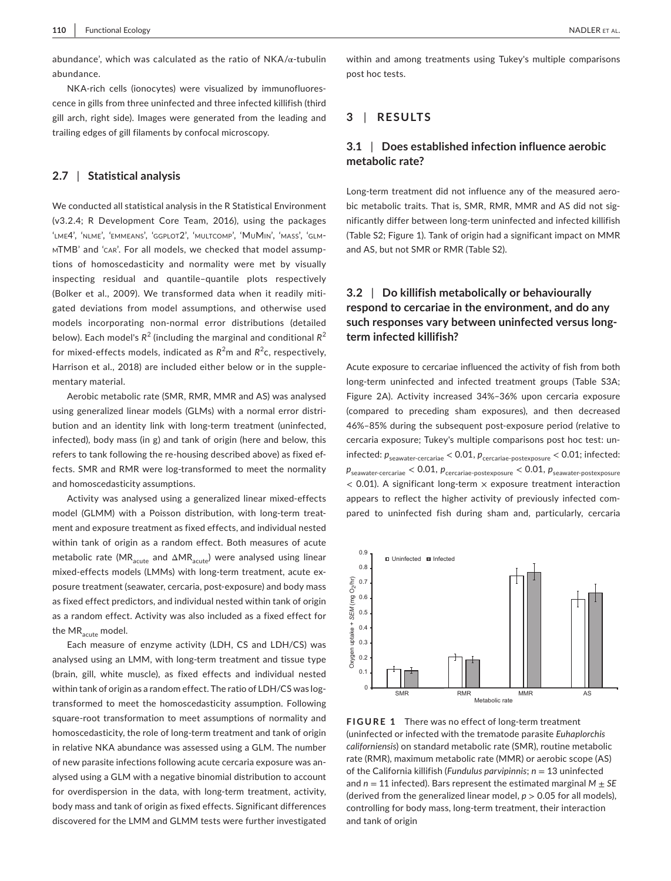abundance', which was calculated as the ratio of  $NKA/\alpha$ -tubulin abundance.

NKA-rich cells (ionocytes) were visualized by immunofluorescence in gills from three uninfected and three infected killifish (third gill arch, right side). Images were generated from the leading and trailing edges of gill filaments by confocal microscopy.

#### **2.7** | **Statistical analysis**

We conducted all statistical analysis in the R Statistical Environment (v3.2.4; R Development Core Team, 2016), using the packages 'lme4', 'nlme', 'emmeans', 'ggplot2', 'multcomp', 'MuMin', 'mass', 'glmmTMB' and 'car'. For all models, we checked that model assumptions of homoscedasticity and normality were met by visually inspecting residual and quantile–quantile plots respectively (Bolker et al., 2009). We transformed data when it readily mitigated deviations from model assumptions, and otherwise used models incorporating non-normal error distributions (detailed below). Each model's  $R^2$  (including the marginal and conditional  $R^2$ for mixed-effects models, indicated as  $R^2$ m and  $R^2$ c, respectively, Harrison et al., 2018) are included either below or in the supplementary material.

Aerobic metabolic rate (SMR, RMR, MMR and AS) was analysed using generalized linear models (GLMs) with a normal error distribution and an identity link with long-term treatment (uninfected, infected), body mass (in g) and tank of origin (here and below, this refers to tank following the re-housing described above) as fixed effects. SMR and RMR were log-transformed to meet the normality and homoscedasticity assumptions.

Activity was analysed using a generalized linear mixed-effects model (GLMM) with a Poisson distribution, with long-term treatment and exposure treatment as fixed effects, and individual nested within tank of origin as a random effect. Both measures of acute metabolic rate (MR<sub>acute</sub> and  $\Delta MR_{acute}$ ) were analysed using linear mixed-effects models (LMMs) with long-term treatment, acute exposure treatment (seawater, cercaria, post-exposure) and body mass as fixed effect predictors, and individual nested within tank of origin as a random effect. Activity was also included as a fixed effect for the MR<sub>acute</sub> model.

Each measure of enzyme activity (LDH, CS and LDH/CS) was analysed using an LMM, with long-term treatment and tissue type (brain, gill, white muscle), as fixed effects and individual nested within tank of origin as a random effect. The ratio of LDH/CS was logtransformed to meet the homoscedasticity assumption. Following square-root transformation to meet assumptions of normality and homoscedasticity, the role of long-term treatment and tank of origin in relative NKA abundance was assessed using a GLM. The number of new parasite infections following acute cercaria exposure was analysed using a GLM with a negative binomial distribution to account for overdispersion in the data, with long-term treatment, activity, body mass and tank of origin as fixed effects. Significant differences discovered for the LMM and GLMM tests were further investigated within and among treatments using Tukey's multiple comparisons post hoc tests.

## **3** | **RESULTS**

# **3.1** | **Does established infection influence aerobic metabolic rate?**

Long-term treatment did not influence any of the measured aerobic metabolic traits. That is, SMR, RMR, MMR and AS did not significantly differ between long-term uninfected and infected killifish (Table S2; Figure 1). Tank of origin had a significant impact on MMR and AS, but not SMR or RMR (Table S2).

# **3.2** | **Do killifish metabolically or behaviourally respond to cercariae in the environment, and do any such responses vary between uninfected versus longterm infected killifish?**

Acute exposure to cercariae influenced the activity of fish from both long-term uninfected and infected treatment groups (Table S3A; Figure 2A). Activity increased 34%–36% upon cercaria exposure (compared to preceding sham exposures), and then decreased 46%–85% during the subsequent post-exposure period (relative to cercaria exposure; Tukey's multiple comparisons post hoc test: uninfected:  $p_{\text{seawater-cercariae}} < 0.01$ ,  $p_{\text{cercariae-postexposure}} < 0.01$ ; infected:  $p_{\text{seawater-cercariae}} < 0.01$ ,  $p_{\text{cercariae-postexposure}} < 0.01$ ,  $p_{\text{seawater-postexposure}}$  $<$  0.01). A significant long-term  $\times$  exposure treatment interaction appears to reflect the higher activity of previously infected compared to uninfected fish during sham and, particularly, cercaria



**FIGURE 1** There was no effect of long-term treatment (uninfected or infected with the trematode parasite *Euhaplorchis californiensis*) on standard metabolic rate (SMR), routine metabolic rate (RMR), maximum metabolic rate (MMR) or aerobic scope (AS) of the California killifish (*Fundulus parvipinnis*; *n* = 13 uninfected and *n* = 11 infected). Bars represent the estimated marginal *M* ± *SE* (derived from the generalized linear model,  $p > 0.05$  for all models), controlling for body mass, long-term treatment, their interaction and tank of origin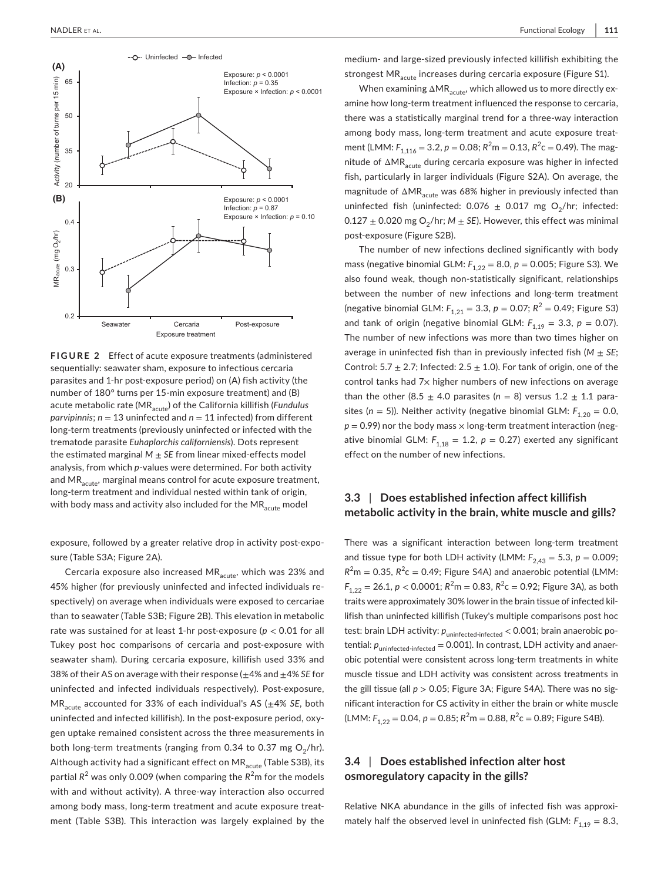

**FIGURE 2** Effect of acute exposure treatments (administered sequentially: seawater sham, exposure to infectious cercaria parasites and 1-hr post-exposure period) on (A) fish activity (the number of 180° turns per 15-min exposure treatment) and (B) acute metabolic rate (MR<sub>acute</sub>) of the California killifish (*Fundulus parvipinnis*; *n* = 13 uninfected and *n* = 11 infected) from different long-term treatments (previously uninfected or infected with the trematode parasite *Euhaplorchis californiensis*). Dots represent the estimated marginal  $M \pm SE$  from linear mixed-effects model analysis, from which *p*-values were determined. For both activity and  $MR_{\text{acute}}$ , marginal means control for acute exposure treatment, long-term treatment and individual nested within tank of origin, with body mass and activity also included for the  $MR_{\text{active}}$  model

exposure, followed by a greater relative drop in activity post-exposure (Table S3A; Figure 2A).

Cercaria exposure also increased  $MR_{acute}$ , which was 23% and 45% higher (for previously uninfected and infected individuals respectively) on average when individuals were exposed to cercariae than to seawater (Table S3B; Figure 2B). This elevation in metabolic rate was sustained for at least 1-hr post-exposure (*p* < 0.01 for all Tukey post hoc comparisons of cercaria and post-exposure with seawater sham). During cercaria exposure, killifish used 33% and 38% of their AS on average with their response (±4% and ±4% *SE* for uninfected and infected individuals respectively). Post-exposure, MRacute accounted for 33% of each individual's AS (±4% *SE*, both uninfected and infected killifish). In the post-exposure period, oxygen uptake remained consistent across the three measurements in both long-term treatments (ranging from 0.34 to 0.37 mg  $O_2/hr$ ). Although activity had a significant effect on  $MR<sub>acute</sub>$  (Table S3B), its partial R<sup>2</sup> was only 0.009 (when comparing the R<sup>2</sup>m for the models with and without activity). A three-way interaction also occurred among body mass, long-term treatment and acute exposure treatment (Table S3B). This interaction was largely explained by the

medium- and large-sized previously infected killifish exhibiting the strongest MR<sub>acute</sub> increases during cercaria exposure (Figure S1).

When examining  $\Delta MR_{acute}$ , which allowed us to more directly examine how long-term treatment influenced the response to cercaria, there was a statistically marginal trend for a three-way interaction among body mass, long-term treatment and acute exposure treatment (LMM:  $F_{1,116} = 3.2$ ,  $p = 0.08$ ;  $R^2m = 0.13$ ,  $R^2c = 0.49$ ). The magnitude of  $\Delta MR_{acute}$  during cercaria exposure was higher in infected fish, particularly in larger individuals (Figure S2A). On average, the magnitude of  $\Delta MR_{acute}$  was 68% higher in previously infected than uninfected fish (uninfected: 0.076  $\pm$  0.017 mg O<sub>2</sub>/hr; infected:  $0.127 \pm 0.020$  mg O<sub>2</sub>/hr;  $M \pm SE$ ). However, this effect was minimal post-exposure (Figure S2B).

The number of new infections declined significantly with body mass (negative binomial GLM:  $F_{1,22} = 8.0$ ,  $p = 0.005$ ; Figure S3). We also found weak, though non-statistically significant, relationships between the number of new infections and long-term treatment (negative binomial GLM:  $F_{1,21} = 3.3$ ,  $p = 0.07$ ;  $R^2 = 0.49$ ; Figure S3) and tank of origin (negative binomial GLM:  $F_{1,19} = 3.3$ ,  $p = 0.07$ ). The number of new infections was more than two times higher on average in uninfected fish than in previously infected fish  $(M \pm SE;$ Control: 5.7  $\pm$  2.7; Infected: 2.5  $\pm$  1.0). For tank of origin, one of the control tanks had 7x higher numbers of new infections on average than the other (8.5  $\pm$  4.0 parasites ( $n = 8$ ) versus 1.2  $\pm$  1.1 parasites ( $n = 5$ )). Neither activity (negative binomial GLM:  $F_{1,20} = 0.0$ ,  $p = 0.99$ ) nor the body mass  $\times$  long-term treatment interaction (negative binomial GLM:  $F_{1,18} = 1.2$ ,  $p = 0.27$ ) exerted any significant effect on the number of new infections.

## **3.3** | **Does established infection affect killifish metabolic activity in the brain, white muscle and gills?**

There was a significant interaction between long-term treatment and tissue type for both LDH activity (LMM:  $F_{2,43} = 5.3$ ,  $p = 0.009$ ;  $R^2$ m = 0.35,  $R^2$ c = 0.49; Figure S4A) and anaerobic potential (LMM:  $F_{1,22} = 26.1, p < 0.0001; R<sup>2</sup>m = 0.83, R<sup>2</sup>c = 0.92; Figure 3A),$  as both traits were approximately 30% lower in the brain tissue of infected killifish than uninfected killifish (Tukey's multiple comparisons post hoc test: brain LDH activity:  $p_{\text{uninfected-infected}} < 0.001$ ; brain anaerobic potential:  $p_{uninfected-infected} = 0.001$ ). In contrast, LDH activity and anaerobic potential were consistent across long-term treatments in white muscle tissue and LDH activity was consistent across treatments in the gill tissue (all *p* > 0.05; Figure 3A; Figure S4A). There was no significant interaction for CS activity in either the brain or white muscle  $(LMM: F<sub>1,22</sub> = 0.04, p = 0.85; R<sup>2</sup>m = 0.88, R<sup>2</sup>c = 0.89; Figure S4B).$ 

# **3.4** | **Does established infection alter host osmoregulatory capacity in the gills?**

Relative NKA abundance in the gills of infected fish was approximately half the observed level in uninfected fish (GLM:  $F_{1,19} = 8.3$ ,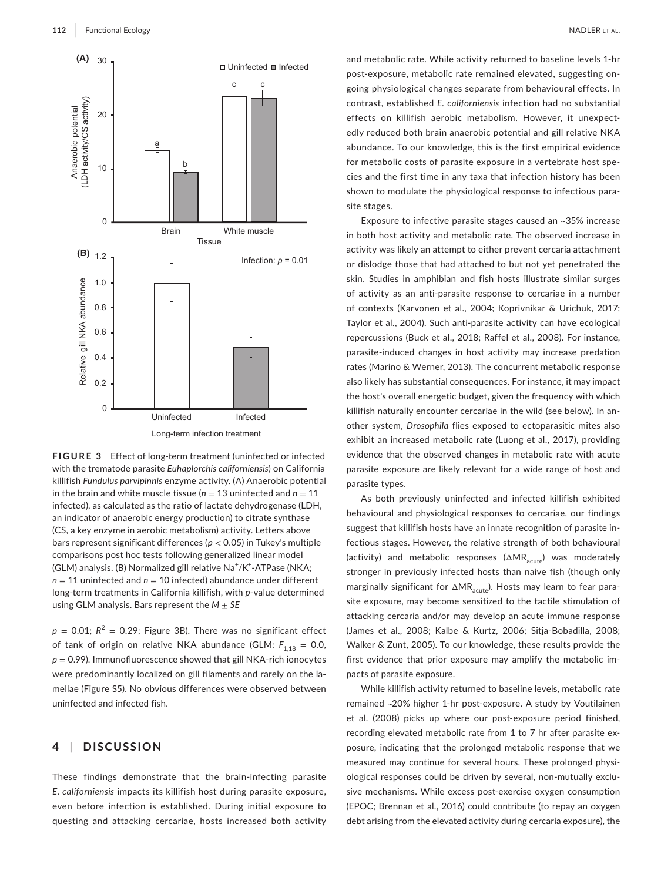

**FIGURE 3** Effect of long-term treatment (uninfected or infected with the trematode parasite *Euhaplorchis californiensis*) on California killifish *Fundulus parvipinnis* enzyme activity. (A) Anaerobic potential in the brain and white muscle tissue ( $n = 13$  uninfected and  $n = 11$ infected), as calculated as the ratio of lactate dehydrogenase (LDH, an indicator of anaerobic energy production) to citrate synthase (CS, a key enzyme in aerobic metabolism) activity. Letters above bars represent significant differences (*p* < 0.05) in Tukey's multiple comparisons post hoc tests following generalized linear model (GLM) analysis. (B) Normalized gill relative Na<sup>+</sup>/K<sup>+</sup>-ATPase (NKA; *n* = 11 uninfected and *n* = 10 infected) abundance under different long-term treatments in California killifish, with *p*-value determined using GLM analysis. Bars represent the *M* ± *SE*

 $p = 0.01$ ;  $R^2 = 0.29$ ; Figure 3B). There was no significant effect of tank of origin on relative NKA abundance (GLM:  $F_{1,18} = 0.0$ , *p* = 0.99). Immunofluorescence showed that gill NKA-rich ionocytes were predominantly localized on gill filaments and rarely on the lamellae (Figure S5). No obvious differences were observed between uninfected and infected fish.

# **4** | **DISCUSSION**

These findings demonstrate that the brain-infecting parasite *E. californiensis* impacts its killifish host during parasite exposure, even before infection is established. During initial exposure to questing and attacking cercariae, hosts increased both activity

and metabolic rate. While activity returned to baseline levels 1-hr post-exposure, metabolic rate remained elevated, suggesting ongoing physiological changes separate from behavioural effects. In contrast, established *E. californiensis* infection had no substantial effects on killifish aerobic metabolism. However, it unexpectedly reduced both brain anaerobic potential and gill relative NKA abundance. To our knowledge, this is the first empirical evidence for metabolic costs of parasite exposure in a vertebrate host species and the first time in any taxa that infection history has been shown to modulate the physiological response to infectious parasite stages.

Exposure to infective parasite stages caused an ~35% increase in both host activity and metabolic rate. The observed increase in activity was likely an attempt to either prevent cercaria attachment or dislodge those that had attached to but not yet penetrated the skin. Studies in amphibian and fish hosts illustrate similar surges of activity as an anti-parasite response to cercariae in a number of contexts (Karvonen et al., 2004; Koprivnikar & Urichuk, 2017; Taylor et al., 2004). Such anti-parasite activity can have ecological repercussions (Buck et al., 2018; Raffel et al., 2008). For instance, parasite-induced changes in host activity may increase predation rates (Marino & Werner, 2013). The concurrent metabolic response also likely has substantial consequences. For instance, it may impact the host's overall energetic budget, given the frequency with which killifish naturally encounter cercariae in the wild (see below). In another system, *Drosophila* flies exposed to ectoparasitic mites also exhibit an increased metabolic rate (Luong et al., 2017), providing evidence that the observed changes in metabolic rate with acute parasite exposure are likely relevant for a wide range of host and parasite types.

As both previously uninfected and infected killifish exhibited behavioural and physiological responses to cercariae, our findings suggest that killifish hosts have an innate recognition of parasite infectious stages. However, the relative strength of both behavioural (activity) and metabolic responses  $(\Delta MR_{acute})$  was moderately stronger in previously infected hosts than naive fish (though only marginally significant for  $\Delta MR_{acute}$ ). Hosts may learn to fear parasite exposure, may become sensitized to the tactile stimulation of attacking cercaria and/or may develop an acute immune response (James et al., 2008; Kalbe & Kurtz, 2006; Sitja-Bobadilla, 2008; Walker & Zunt, 2005). To our knowledge, these results provide the first evidence that prior exposure may amplify the metabolic impacts of parasite exposure.

While killifish activity returned to baseline levels, metabolic rate remained ~20% higher 1-hr post-exposure. A study by Voutilainen et al. (2008) picks up where our post-exposure period finished, recording elevated metabolic rate from 1 to 7 hr after parasite exposure, indicating that the prolonged metabolic response that we measured may continue for several hours. These prolonged physiological responses could be driven by several, non-mutually exclusive mechanisms. While excess post-exercise oxygen consumption (EPOC; Brennan et al., 2016) could contribute (to repay an oxygen debt arising from the elevated activity during cercaria exposure), the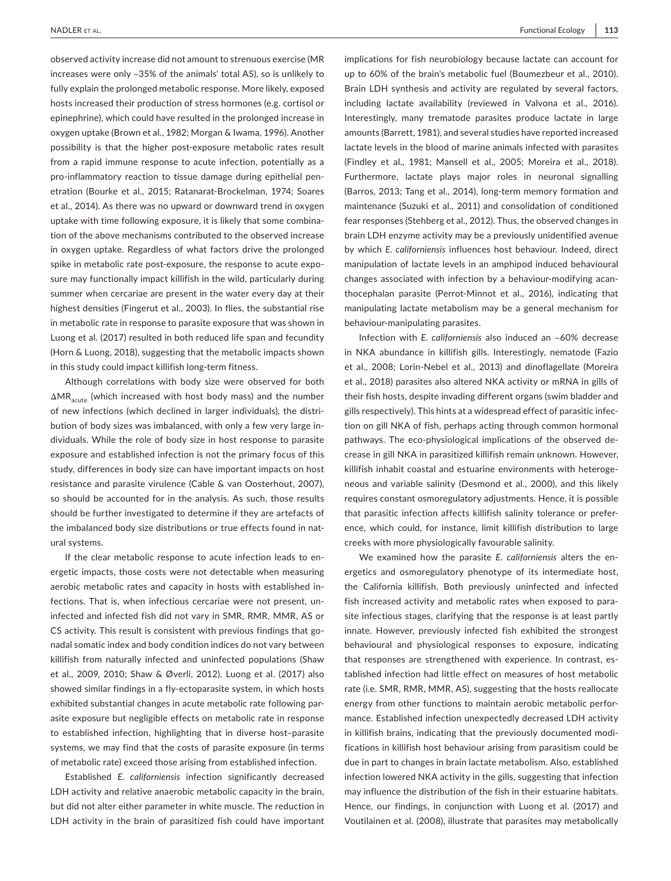observed activity increase did not amount to strenuous exercise (MR increases were only ~35% of the animals' total AS), so is unlikely to fully explain the prolonged metabolic response. More likely, exposed hosts increased their production of stress hormones (e.g. cortisol or epinephrine), which could have resulted in the prolonged increase in oxygen uptake (Brown et al., 1982; Morgan & Iwama, 1996). Another possibility is that the higher post-exposure metabolic rates result from a rapid immune response to acute infection, potentially as a pro-inflammatory reaction to tissue damage during epithelial penetration (Bourke et al., 2015; Ratanarat-Brockelman, 1974; Soares et al., 2014). As there was no upward or downward trend in oxygen uptake with time following exposure, it is likely that some combination of the above mechanisms contributed to the observed increase in oxygen uptake. Regardless of what factors drive the prolonged spike in metabolic rate post-exposure, the response to acute exposure may functionally impact killifish in the wild, particularly during summer when cercariae are present in the water every day at their highest densities (Fingerut et al., 2003). In flies, the substantial rise in metabolic rate in response to parasite exposure that was shown in Luong et al. (2017) resulted in both reduced life span and fecundity (Horn & Luong, 2018), suggesting that the metabolic impacts shown in this study could impact killifish long-term fitness.

Although correlations with body size were observed for both ΔMR<sub>acute</sub> (which increased with host body mass) and the number of new infections (which declined in larger individuals), the distribution of body sizes was imbalanced, with only a few very large individuals. While the role of body size in host response to parasite exposure and established infection is not the primary focus of this study, differences in body size can have important impacts on host resistance and parasite virulence (Cable & van Oosterhout, 2007), so should be accounted for in the analysis. As such, those results should be further investigated to determine if they are artefacts of the imbalanced body size distributions or true effects found in natural systems.

If the clear metabolic response to acute infection leads to energetic impacts, those costs were not detectable when measuring aerobic metabolic rates and capacity in hosts with established infections. That is, when infectious cercariae were not present, uninfected and infected fish did not vary in SMR, RMR, MMR, AS or CS activity. This result is consistent with previous findings that gonadal somatic index and body condition indices do not vary between killifish from naturally infected and uninfected populations (Shaw et al., 2009, 2010; Shaw & Øverli, 2012). Luong et al. (2017) also showed similar findings in a fly-ectoparasite system, in which hosts exhibited substantial changes in acute metabolic rate following parasite exposure but negligible effects on metabolic rate in response to established infection, highlighting that in diverse host–parasite systems, we may find that the costs of parasite exposure (in terms of metabolic rate) exceed those arising from established infection.

Established *E. californiensis* infection significantly decreased LDH activity and relative anaerobic metabolic capacity in the brain, but did not alter either parameter in white muscle. The reduction in LDH activity in the brain of parasitized fish could have important implications for fish neurobiology because lactate can account for up to 60% of the brain's metabolic fuel (Boumezbeur et al., 2010). Brain LDH synthesis and activity are regulated by several factors, including lactate availability (reviewed in Valvona et al., 2016). Interestingly, many trematode parasites produce lactate in large amounts (Barrett, 1981), and several studies have reported increased lactate levels in the blood of marine animals infected with parasites (Findley et al., 1981; Mansell et al., 2005; Moreira et al., 2018). Furthermore, lactate plays major roles in neuronal signalling (Barros, 2013; Tang et al., 2014), long-term memory formation and maintenance (Suzuki et al., 2011) and consolidation of conditioned fear responses (Stehberg et al., 2012). Thus, the observed changes in brain LDH enzyme activity may be a previously unidentified avenue by which *E. californiensis* influences host behaviour. Indeed, direct manipulation of lactate levels in an amphipod induced behavioural changes associated with infection by a behaviour-modifying acanthocephalan parasite (Perrot-Minnot et al., 2016), indicating that manipulating lactate metabolism may be a general mechanism for behaviour-manipulating parasites.

Infection with *E. californiensis* also induced an ~60% decrease in NKA abundance in killifish gills. Interestingly, nematode (Fazio et al., 2008; Lorin-Nebel et al., 2013) and dinoflagellate (Moreira et al., 2018) parasites also altered NKA activity or mRNA in gills of their fish hosts, despite invading different organs (swim bladder and gills respectively). This hints at a widespread effect of parasitic infection on gill NKA of fish, perhaps acting through common hormonal pathways. The eco-physiological implications of the observed decrease in gill NKA in parasitized killifish remain unknown. However, killifish inhabit coastal and estuarine environments with heterogeneous and variable salinity (Desmond et al., 2000), and this likely requires constant osmoregulatory adjustments. Hence, it is possible that parasitic infection affects killifish salinity tolerance or preference, which could, for instance, limit killifish distribution to large creeks with more physiologically favourable salinity.

We examined how the parasite *E*. *californiensis* alters the energetics and osmoregulatory phenotype of its intermediate host, the California killifish. Both previously uninfected and infected fish increased activity and metabolic rates when exposed to parasite infectious stages, clarifying that the response is at least partly innate. However, previously infected fish exhibited the strongest behavioural and physiological responses to exposure, indicating that responses are strengthened with experience. In contrast, established infection had little effect on measures of host metabolic rate (i.e. SMR, RMR, MMR, AS), suggesting that the hosts reallocate energy from other functions to maintain aerobic metabolic performance. Established infection unexpectedly decreased LDH activity in killifish brains, indicating that the previously documented modifications in killifish host behaviour arising from parasitism could be due in part to changes in brain lactate metabolism. Also, established infection lowered NKA activity in the gills, suggesting that infection may influence the distribution of the fish in their estuarine habitats. Hence, our findings, in conjunction with Luong et al. (2017) and Voutilainen et al. (2008), illustrate that parasites may metabolically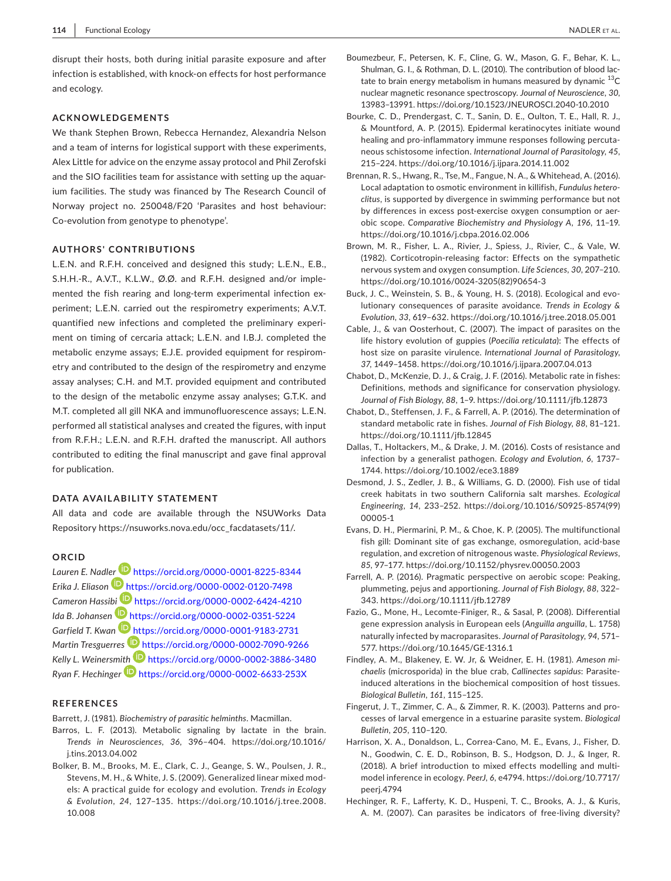disrupt their hosts, both during initial parasite exposure and after infection is established, with knock-on effects for host performance and ecology.

#### **ACKNOWLEDGEMENTS**

We thank Stephen Brown, Rebecca Hernandez, Alexandria Nelson and a team of interns for logistical support with these experiments, Alex Little for advice on the enzyme assay protocol and Phil Zerofski and the SIO facilities team for assistance with setting up the aquarium facilities. The study was financed by The Research Council of Norway project no. 250048/F20 'Parasites and host behaviour: Co-evolution from genotype to phenotype'.

#### **AUTHORS' CONTRIBUTIONS**

L.E.N. and R.F.H. conceived and designed this study; L.E.N., E.B., S.H.H.-R., A.V.T., K.L.W., Ø.Ø. and R.F.H. designed and/or implemented the fish rearing and long-term experimental infection experiment; L.E.N. carried out the respirometry experiments; A.V.T. quantified new infections and completed the preliminary experiment on timing of cercaria attack; L.E.N. and I.B.J. completed the metabolic enzyme assays; E.J.E. provided equipment for respirometry and contributed to the design of the respirometry and enzyme assay analyses; C.H. and M.T. provided equipment and contributed to the design of the metabolic enzyme assay analyses; G.T.K. and M.T. completed all gill NKA and immunofluorescence assays; L.E.N. performed all statistical analyses and created the figures, with input from R.F.H.; L.E.N. and R.F.H. drafted the manuscript. All authors contributed to editing the final manuscript and gave final approval for publication.

#### **DATA AVAILABILITY STATEMENT**

All data and code are available through the NSUWorks Data Repository [https://nsuworks.nova.edu/occ\\_facdatasets/11/](https://nsuworks.nova.edu/occ_facdatasets/11/).

#### **ORCID**

*Lauren E. Nadl[er](https://orcid.org/0000-0002-0120-7498)* <https://orcid.org/0000-0001-8225-8344> *Erika J. Eliason* <https://orcid.org/0000-0002-0120-7498> *Cameron Hassi[bi](https://orcid.org/0000-0002-0351-5224)* <https://orcid.org/0000-0002-6424-4210> *Ida B. Johansen* <https://orcid.org/0000-0002-0351-5224> Garfield T. Kwan **b** <https://orcid.org/0000-0001-9183-2731> *Martin Tresguerres* <https://orcid.org/0000-0002-7090-9266> *Kelly L. Weinersm[ith](https://orcid.org/0000-0002-6633-253X)* <https://orcid.org/0000-0002-3886-3480> *Ryan F. Hechinger* <https://orcid.org/0000-0002-6633-253X>

#### **REFERENCES**

Barrett, J. (1981). *Biochemistry of parasitic helminths*. Macmillan.

- Barros, L. F. (2013). Metabolic signaling by lactate in the brain. *Trends in Neurosciences*, *36*, 396–404. [https://doi.org/10.1016/](https://doi.org/10.1016/j.tins.2013.04.002) [j.tins.2013.04.002](https://doi.org/10.1016/j.tins.2013.04.002)
- Bolker, B. M., Brooks, M. E., Clark, C. J., Geange, S. W., Poulsen, J. R., Stevens, M. H., & White, J. S. (2009). Generalized linear mixed models: A practical guide for ecology and evolution. *Trends in Ecology & Evolution*, *24*, 127–135. [https://doi.org/10.1016/j.tree.2008.](https://doi.org/10.1016/j.tree.2008.10.008) [10.008](https://doi.org/10.1016/j.tree.2008.10.008)
- Boumezbeur, F., Petersen, K. F., Cline, G. W., Mason, G. F., Behar, K. L., Shulman, G. I., & Rothman, D. L. (2010). The contribution of blood lactate to brain energy metabolism in humans measured by dynamic  $^{13}$ C nuclear magnetic resonance spectroscopy. *Journal of Neuroscience*, *30*, 13983–13991.<https://doi.org/10.1523/JNEUROSCI.2040-10.2010>
- Bourke, C. D., Prendergast, C. T., Sanin, D. E., Oulton, T. E., Hall, R. J., & Mountford, A. P. (2015). Epidermal keratinocytes initiate wound healing and pro-inflammatory immune responses following percutaneous schistosome infection. *International Journal of Parasitology*, *45*, 215–224.<https://doi.org/10.1016/j.ijpara.2014.11.002>
- Brennan, R. S., Hwang, R., Tse, M., Fangue, N. A., & Whitehead, A. (2016). Local adaptation to osmotic environment in killifish, *Fundulus heteroclitus*, is supported by divergence in swimming performance but not by differences in excess post-exercise oxygen consumption or aerobic scope. *Comparative Biochemistry and Physiology A*, *196*, 11–19. <https://doi.org/10.1016/j.cbpa.2016.02.006>
- Brown, M. R., Fisher, L. A., Rivier, J., Spiess, J., Rivier, C., & Vale, W. (1982). Corticotropin-releasing factor: Effects on the sympathetic nervous system and oxygen consumption. *Life Sciences*, *30*, 207–210. [https://doi.org/10.1016/0024-3205\(82\)90654-3](https://doi.org/10.1016/0024-3205(82)90654-3)
- Buck, J. C., Weinstein, S. B., & Young, H. S. (2018). Ecological and evolutionary consequences of parasite avoidance. *Trends in Ecology & Evolution*, *33*, 619–632.<https://doi.org/10.1016/j.tree.2018.05.001>
- Cable, J., & van Oosterhout, C. (2007). The impact of parasites on the life history evolution of guppies (*Poecilia reticulata*): The effects of host size on parasite virulence. *International Journal of Parasitology*, *37*, 1449–1458. <https://doi.org/10.1016/j.ijpara.2007.04.013>
- Chabot, D., McKenzie, D. J., & Craig, J. F. (2016). Metabolic rate in fishes: Definitions, methods and significance for conservation physiology. *Journal of Fish Biology*, *88*, 1–9. <https://doi.org/10.1111/jfb.12873>
- Chabot, D., Steffensen, J. F., & Farrell, A. P. (2016). The determination of standard metabolic rate in fishes. *Journal of Fish Biology*, *88*, 81–121. <https://doi.org/10.1111/jfb.12845>
- Dallas, T., Holtackers, M., & Drake, J. M. (2016). Costs of resistance and infection by a generalist pathogen. *Ecology and Evolution*, *6*, 1737– 1744. <https://doi.org/10.1002/ece3.1889>
- Desmond, J. S., Zedler, J. B., & Williams, G. D. (2000). Fish use of tidal creek habitats in two southern California salt marshes. *Ecological Engineering*, *14*, 233–252. [https://doi.org/10.1016/S0925-8574\(99\)](https://doi.org/10.1016/S0925-8574(99)00005-1) [00005-1](https://doi.org/10.1016/S0925-8574(99)00005-1)
- Evans, D. H., Piermarini, P. M., & Choe, K. P. (2005). The multifunctional fish gill: Dominant site of gas exchange, osmoregulation, acid-base regulation, and excretion of nitrogenous waste. *Physiological Reviews*, *85*, 97–177. <https://doi.org/10.1152/physrev.00050.2003>
- Farrell, A. P. (2016). Pragmatic perspective on aerobic scope: Peaking, plummeting, pejus and apportioning. *Journal of Fish Biology*, *88*, 322– 343. <https://doi.org/10.1111/jfb.12789>
- Fazio, G., Mone, H., Lecomte-Finiger, R., & Sasal, P. (2008). Differential gene expression analysis in European eels (*Anguilla anguilla*, L. 1758) naturally infected by macroparasites. *Journal of Parasitology*, *94*, 571– 577. <https://doi.org/10.1645/GE-1316.1>
- Findley, A. M., Blakeney, E. W. Jr, & Weidner, E. H. (1981). *Ameson michaelis* (microsporida) in the blue crab, *Callinectes sapidus*: Parasiteinduced alterations in the biochemical composition of host tissues. *Biological Bulletin*, *161*, 115–125.
- Fingerut, J. T., Zimmer, C. A., & Zimmer, R. K. (2003). Patterns and processes of larval emergence in a estuarine parasite system. *Biological Bulletin*, *205*, 110–120.
- Harrison, X. A., Donaldson, L., Correa-Cano, M. E., Evans, J., Fisher, D. N., Goodwin, C. E. D., Robinson, B. S., Hodgson, D. J., & Inger, R. (2018). A brief introduction to mixed effects modelling and multimodel inference in ecology. *PeerJ*, *6*, e4794. [https://doi.org/10.7717/](https://doi.org/10.7717/peerj.4794) [peerj.4794](https://doi.org/10.7717/peerj.4794)
- Hechinger, R. F., Lafferty, K. D., Huspeni, T. C., Brooks, A. J., & Kuris, A. M. (2007). Can parasites be indicators of free-living diversity?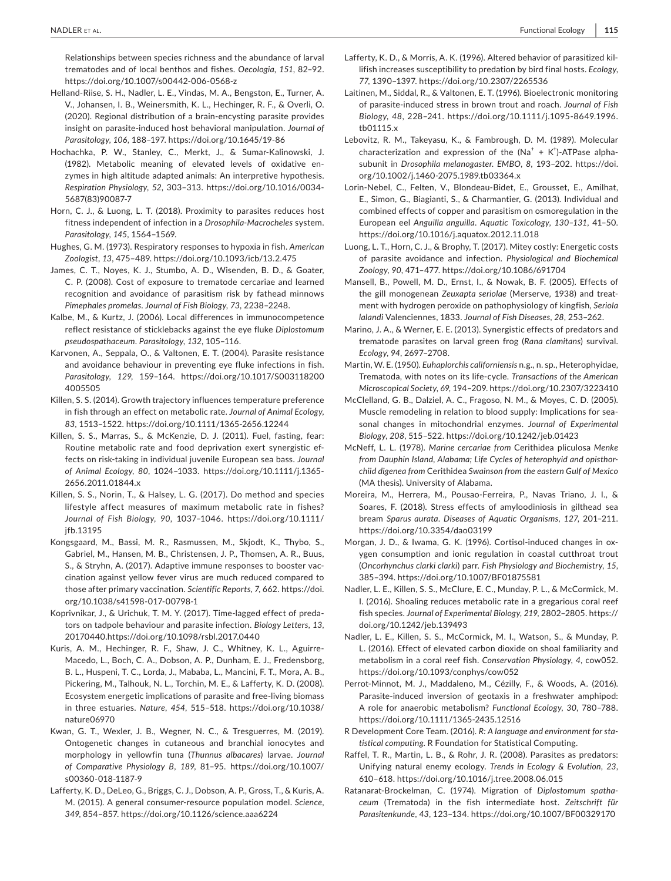Relationships between species richness and the abundance of larval trematodes and of local benthos and fishes. *Oecologia*, *151*, 82–92. <https://doi.org/10.1007/s00442-006-0568-z>

Helland-Riise, S. H., Nadler, L. E., Vindas, M. A., Bengston, E., Turner, A. V., Johansen, I. B., Weinersmith, K. L., Hechinger, R. F., & Overli, O. (2020). Regional distribution of a brain-encysting parasite provides insight on parasite-induced host behavioral manipulation. *Journal of Parasitology*, *106*, 188–197. <https://doi.org/10.1645/19-86>

Hochachka, P. W., Stanley, C., Merkt, J., & Sumar-Kalinowski, J. (1982). Metabolic meaning of elevated levels of oxidative enzymes in high altitude adapted animals: An interpretive hypothesis. *Respiration Physiology*, *52*, 303–313. [https://doi.org/10.1016/0034-](https://doi.org/10.1016/0034-5687(83)90087-7) [5687\(83\)90087-7](https://doi.org/10.1016/0034-5687(83)90087-7)

Horn, C. J., & Luong, L. T. (2018). Proximity to parasites reduces host fitness independent of infection in a *Drosophila-Macrocheles* system. *Parasitology*, *145*, 1564–1569.

Hughes, G. M. (1973). Respiratory responses to hypoxia in fish. *American Zoologist*, *13*, 475–489. <https://doi.org/10.1093/icb/13.2.475>

James, C. T., Noyes, K. J., Stumbo, A. D., Wisenden, B. D., & Goater, C. P. (2008). Cost of exposure to trematode cercariae and learned recognition and avoidance of parasitism risk by fathead minnows *Pimephales promelas*. *Journal of Fish Biology*, *73*, 2238–2248.

Kalbe, M., & Kurtz, J. (2006). Local differences in immunocompetence reflect resistance of sticklebacks against the eye fluke *Diplostomum pseudospathaceum*. *Parasitology*, *132*, 105–116.

Karvonen, A., Seppala, O., & Valtonen, E. T. (2004). Parasite resistance and avoidance behaviour in preventing eye fluke infections in fish. *Parasitology*, *129*, 159–164. [https://doi.org/10.1017/S003118200](https://doi.org/10.1017/S0031182004005505) [4005505](https://doi.org/10.1017/S0031182004005505)

Killen, S. S. (2014). Growth trajectory influences temperature preference in fish through an effect on metabolic rate. *Journal of Animal Ecology*, *83*, 1513–1522.<https://doi.org/10.1111/1365-2656.12244>

Killen, S. S., Marras, S., & McKenzie, D. J. (2011). Fuel, fasting, fear: Routine metabolic rate and food deprivation exert synergistic effects on risk-taking in individual juvenile European sea bass. *Journal of Animal Ecology*, *80*, 1024–1033. [https://doi.org/10.1111/j.1365-](https://doi.org/10.1111/j.1365-2656.2011.01844.x) [2656.2011.01844.x](https://doi.org/10.1111/j.1365-2656.2011.01844.x)

Killen, S. S., Norin, T., & Halsey, L. G. (2017). Do method and species lifestyle affect measures of maximum metabolic rate in fishes? *Journal of Fish Biology*, *90*, 1037–1046. [https://doi.org/10.1111/](https://doi.org/10.1111/jfb.13195) [jfb.13195](https://doi.org/10.1111/jfb.13195)

Kongsgaard, M., Bassi, M. R., Rasmussen, M., Skjodt, K., Thybo, S., Gabriel, M., Hansen, M. B., Christensen, J. P., Thomsen, A. R., Buus, S., & Stryhn, A. (2017). Adaptive immune responses to booster vaccination against yellow fever virus are much reduced compared to those after primary vaccination. *Scientific Reports*, *7*, 662. [https://doi.](https://doi.org/10.1038/s41598-017-00798-1) [org/10.1038/s41598-017-00798-1](https://doi.org/10.1038/s41598-017-00798-1)

Koprivnikar, J., & Urichuk, T. M. Y. (2017). Time-lagged effect of predators on tadpole behaviour and parasite infection. *Biology Letters*, *13*, 20170440.<https://doi.org/10.1098/rsbl.2017.0440>

Kuris, A. M., Hechinger, R. F., Shaw, J. C., Whitney, K. L., Aguirre-Macedo, L., Boch, C. A., Dobson, A. P., Dunham, E. J., Fredensborg, B. L., Huspeni, T. C., Lorda, J., Mababa, L., Mancini, F. T., Mora, A. B., Pickering, M., Talhouk, N. L., Torchin, M. E., & Lafferty, K. D. (2008). Ecosystem energetic implications of parasite and free-living biomass in three estuaries. *Nature*, *454*, 515–518. [https://doi.org/10.1038/](https://doi.org/10.1038/nature06970) [nature06970](https://doi.org/10.1038/nature06970)

Kwan, G. T., Wexler, J. B., Wegner, N. C., & Tresguerres, M. (2019). Ontogenetic changes in cutaneous and branchial ionocytes and morphology in yellowfin tuna (*Thunnus albacares*) larvae. *Journal of Comparative Physiology B*, *189*, 81–95. [https://doi.org/10.1007/](https://doi.org/10.1007/s00360-018-1187-9) [s00360-018-1187-9](https://doi.org/10.1007/s00360-018-1187-9)

Lafferty, K. D., DeLeo, G., Briggs, C. J., Dobson, A. P., Gross, T., & Kuris, A. M. (2015). A general consumer-resource population model. *Science*, *349*, 854–857. <https://doi.org/10.1126/science.aaa6224>

Lafferty, K. D., & Morris, A. K. (1996). Altered behavior of parasitized killifish increases susceptibility to predation by bird final hosts. *Ecology*, *77*, 1390–1397.<https://doi.org/10.2307/2265536>

Laitinen, M., Siddal, R., & Valtonen, E. T. (1996). Bioelectronic monitoring of parasite-induced stress in brown trout and roach. *Journal of Fish Biology*, *48*, 228–241. [https://doi.org/10.1111/j.1095-8649.1996.](https://doi.org/10.1111/j.1095-8649.1996.tb01115.x) [tb01115.x](https://doi.org/10.1111/j.1095-8649.1996.tb01115.x)

Lebovitz, R. M., Takeyasu, K., & Fambrough, D. M. (1989). Molecular characterization and expression of the  $(Na^+ + K^+)$ -ATPase alphasubunit in *Drosophila melanogaster*. *EMBO*, *8*, 193–202. [https://doi.](https://doi.org/10.1002/j.1460-2075.1989.tb03364.x) [org/10.1002/j.1460-2075.1989.tb03364.x](https://doi.org/10.1002/j.1460-2075.1989.tb03364.x)

Lorin-Nebel, C., Felten, V., Blondeau-Bidet, E., Grousset, E., Amilhat, E., Simon, G., Biagianti, S., & Charmantier, G. (2013). Individual and combined effects of copper and parasitism on osmoregulation in the European eel *Anguilla anguilla*. *Aquatic Toxicology*, *130–131*, 41–50. <https://doi.org/10.1016/j.aquatox.2012.11.018>

Luong, L. T., Horn, C. J., & Brophy, T. (2017). Mitey costly: Energetic costs of parasite avoidance and infection. *Physiological and Biochemical Zoology*, *90*, 471–477. <https://doi.org/10.1086/691704>

Mansell, B., Powell, M. D., Ernst, I., & Nowak, B. F. (2005). Effects of the gill monogenean *Zeuxapta seriolae* (Merserve, 1938) and treatment with hydrogen peroxide on pathophysiology of kingfish, *Seriola lalandi* Valenciennes, 1833. *Journal of Fish Diseases*, *28*, 253–262.

Marino, J. A., & Werner, E. E. (2013). Synergistic effects of predators and trematode parasites on larval green frog (*Rana clamitans*) survival. *Ecology*, *94*, 2697–2708.

Martin, W. E. (1950). *Euhaplorchis californiensis* n.g., n. sp., Heterophyidae, Trematoda, with notes on its life-cycle. *Transactions of the American Microscopical Society*, *69*, 194–209.<https://doi.org/10.2307/3223410>

McClelland, G. B., Dalziel, A. C., Fragoso, N. M., & Moyes, C. D. (2005). Muscle remodeling in relation to blood supply: Implications for seasonal changes in mitochondrial enzymes. *Journal of Experimental Biology*, *208*, 515–522.<https://doi.org/10.1242/jeb.01423>

McNeff, L. L. (1978). *Marine cercariae from* Cerithidea pliculosa *Menke from Dauphin Island, Alabama; Life Cycles of heterophyid and opisthorchiid digenea from* Cerithidea *Swainson from the eastern Gulf of Mexico* (MA thesis). University of Alabama.

Moreira, M., Herrera, M., Pousao-Ferreira, P., Navas Triano, J. I., & Soares, F. (2018). Stress effects of amyloodiniosis in gilthead sea bream *Sparus aurata*. *Diseases of Aquatic Organisms*, *127*, 201–211. <https://doi.org/10.3354/dao03199>

Morgan, J. D., & Iwama, G. K. (1996). Cortisol-induced changes in oxygen consumption and ionic regulation in coastal cutthroat trout (*Oncorhynchus clarki clarki*) parr. *Fish Physiology and Biochemistry*, *15*, 385–394.<https://doi.org/10.1007/BF01875581>

Nadler, L. E., Killen, S. S., McClure, E. C., Munday, P. L., & McCormick, M. I. (2016). Shoaling reduces metabolic rate in a gregarious coral reef fish species. *Journal of Experimental Biology*, *219*, 2802–2805. [https://](https://doi.org/10.1242/jeb.139493) [doi.org/10.1242/jeb.139493](https://doi.org/10.1242/jeb.139493)

Nadler, L. E., Killen, S. S., McCormick, M. I., Watson, S., & Munday, P. L. (2016). Effect of elevated carbon dioxide on shoal familiarity and metabolism in a coral reef fish. *Conservation Physiology*, *4*, cow052. <https://doi.org/10.1093/conphys/cow052>

Perrot-Minnot, M. J., Maddaleno, M., Cézilly, F., & Woods, A. (2016). Parasite-induced inversion of geotaxis in a freshwater amphipod: A role for anaerobic metabolism? *Functional Ecology*, *30*, 780–788. <https://doi.org/10.1111/1365-2435.12516>

R Development Core Team. (2016). *R: A language and environment for statistical computing*. R Foundation for Statistical Computing.

Raffel, T. R., Martin, L. B., & Rohr, J. R. (2008). Parasites as predators: Unifying natural enemy ecology. *Trends in Ecology & Evolution*, *23*, 610–618. <https://doi.org/10.1016/j.tree.2008.06.015>

Ratanarat-Brockelman, C. (1974). Migration of *Diplostomum spathaceum* (Trematoda) in the fish intermediate host. *Zeitschrift für Parasitenkunde*, *43*, 123–134.<https://doi.org/10.1007/BF00329170>